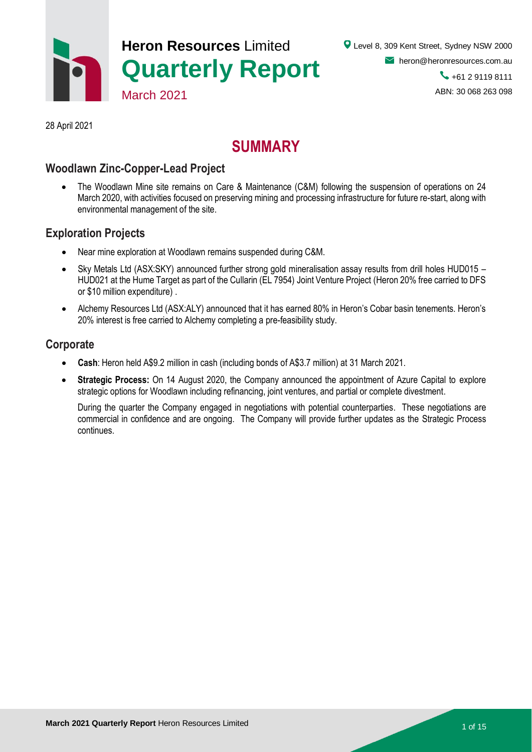

28 April 2021

## **SUMMARY**

## **Woodlawn Zinc-Copper-Lead Project**

 The Woodlawn Mine site remains on Care & Maintenance (C&M) following the suspension of operations on 24 March 2020, with activities focused on preserving mining and processing infrastructure for future re-start, along with environmental management of the site.

### **Exploration Projects**

- Near mine exploration at Woodlawn remains suspended during C&M.
- Sky Metals Ltd (ASX:SKY) announced further strong gold mineralisation assay results from drill holes HUD015 HUD021 at the Hume Target as part of the Cullarin (EL 7954) Joint Venture Project (Heron 20% free carried to DFS or \$10 million expenditure) .
- Alchemy Resources Ltd (ASX:ALY) announced that it has earned 80% in Heron's Cobar basin tenements. Heron's 20% interest is free carried to Alchemy completing a pre-feasibility study.

### **Corporate**

- **Cash**: Heron held A\$9.2 million in cash (including bonds of A\$3.7 million) at 31 March 2021.
- **Strategic Process:** On 14 August 2020, the Company announced the appointment of Azure Capital to explore strategic options for Woodlawn including refinancing, joint ventures, and partial or complete divestment.

During the quarter the Company engaged in negotiations with potential counterparties. These negotiations are commercial in confidence and are ongoing. The Company will provide further updates as the Strategic Process continues.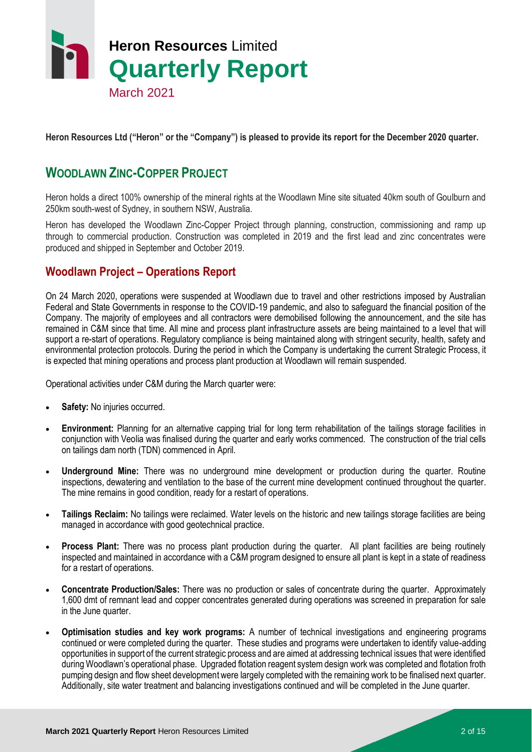

**Heron Resources Ltd ("Heron" or the "Company") is pleased to provide its report for the December 2020 quarter.**

## **WOODLAWN ZINC-COPPER PROJECT**

Heron holds a direct 100% ownership of the mineral rights at the Woodlawn Mine site situated 40km south of Goulburn and 250km south-west of Sydney, in southern NSW, Australia.

Heron has developed the Woodlawn Zinc-Copper Project through planning, construction, commissioning and ramp up through to commercial production. Construction was completed in 2019 and the first lead and zinc concentrates were produced and shipped in September and October 2019.

## **Woodlawn Project – Operations Report**

On 24 March 2020, operations were suspended at Woodlawn due to travel and other restrictions imposed by Australian Federal and State Governments in response to the COVID-19 pandemic, and also to safeguard the financial position of the Company. The majority of employees and all contractors were demobilised following the announcement, and the site has remained in C&M since that time. All mine and process plant infrastructure assets are being maintained to a level that will support a re-start of operations. Regulatory compliance is being maintained along with stringent security, health, safety and environmental protection protocols. During the period in which the Company is undertaking the current Strategic Process, it is expected that mining operations and process plant production at Woodlawn will remain suspended.

Operational activities under C&M during the March quarter were:

- **Safety:** No injuries occurred.
- **Environment:** Planning for an alternative capping trial for long term rehabilitation of the tailings storage facilities in conjunction with Veolia was finalised during the quarter and early works commenced. The construction of the trial cells on tailings dam north (TDN) commenced in April.
- **Underground Mine:** There was no underground mine development or production during the quarter. Routine inspections, dewatering and ventilation to the base of the current mine development continued throughout the quarter. The mine remains in good condition, ready for a restart of operations.
- **Tailings Reclaim:** No tailings were reclaimed. Water levels on the historic and new tailings storage facilities are being managed in accordance with good geotechnical practice.
- **Process Plant:** There was no process plant production during the quarter. All plant facilities are being routinely inspected and maintained in accordance with a C&M program designed to ensure all plant is kept in a state of readiness for a restart of operations.
- **Concentrate Production/Sales:** There was no production or sales of concentrate during the quarter. Approximately 1,600 dmt of remnant lead and copper concentrates generated during operations was screened in preparation for sale in the June quarter.
- **Optimisation studies and key work programs:** A number of technical investigations and engineering programs continued or were completed during the quarter. These studies and programs were undertaken to identify value-adding opportunities in support of the current strategic process and are aimed at addressing technical issues that were identified during Woodlawn's operational phase. Upgraded flotation reagent system design work was completed and flotation froth pumping design and flow sheet development were largely completed with the remaining work to be finalised next quarter. Additionally, site water treatment and balancing investigations continued and will be completed in the June quarter.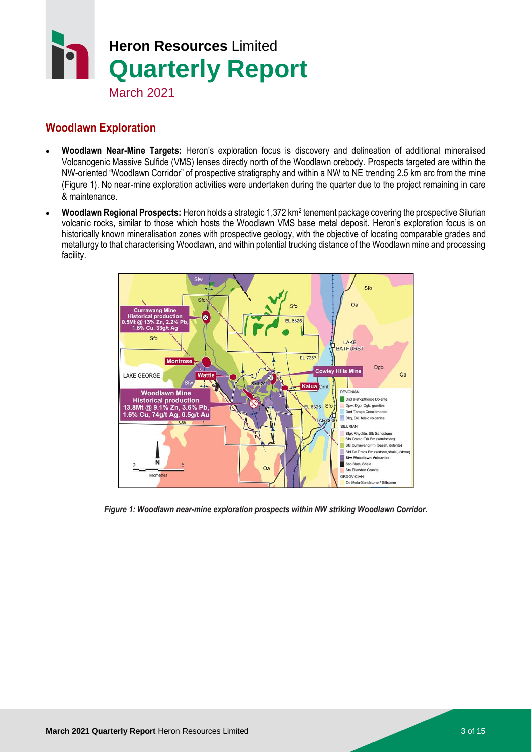

## **Woodlawn Exploration**

- **Woodlawn Near-Mine Targets:** Heron's exploration focus is discovery and delineation of additional mineralised Volcanogenic Massive Sulfide (VMS) lenses directly north of the Woodlawn orebody. Prospects targeted are within the NW-oriented "Woodlawn Corridor" of prospective stratigraphy and within a NW to NE trending 2.5 km arc from the mine (Figure 1). No near-mine exploration activities were undertaken during the quarter due to the project remaining in care & maintenance.
- **Woodlawn Regional Prospects:** Heron holds a strategic 1,372 km<sup>2</sup> tenement package covering the prospective Silurian volcanic rocks, similar to those which hosts the Woodlawn VMS base metal deposit. Heron's exploration focus is on historically known mineralisation zones with prospective geology, with the objective of locating comparable grades and metallurgy to that characterising Woodlawn, and within potential trucking distance of the Woodlawn mine and processing facility.



*Figure 1: Woodlawn near-mine exploration prospects within NW striking Woodlawn Corridor.*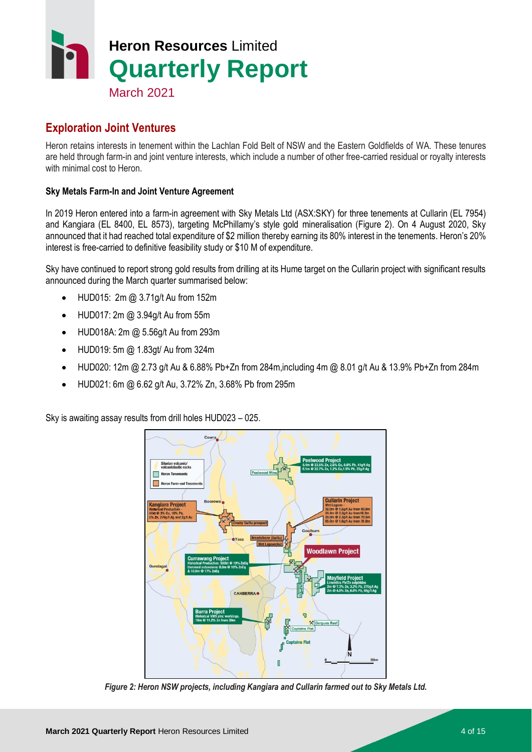

## **Exploration Joint Ventures**

Heron retains interests in tenement within the Lachlan Fold Belt of NSW and the Eastern Goldfields of WA. These tenures are held through farm-in and joint venture interests, which include a number of other free-carried residual or royalty interests with minimal cost to Heron.

#### **Sky Metals Farm-In and Joint Venture Agreement**

In 2019 Heron entered into a farm-in agreement with Sky Metals Ltd (ASX:SKY) for three tenements at Cullarin (EL 7954) and Kangiara (EL 8400, EL 8573), targeting McPhillamy's style gold mineralisation (Figure 2). On 4 August 2020, Sky announced that it had reached total expenditure of \$2 million thereby earning its 80% interest in the tenements. Heron's 20% interest is free-carried to definitive feasibility study or \$10 M of expenditure.

Sky have continued to report strong gold results from drilling at its Hume target on the Cullarin project with significant results announced during the March quarter summarised below:

- HUD015: 2m @ 3.71g/t Au from 152m
- HUD017: 2m @ 3.94g/t Au from 55m
- HUD018A: 2m @ 5.56g/t Au from 293m
- HUD019: 5m @ 1.83gt/ Au from 324m
- $\bullet$  HUD020: 12m @ 2.73 g/t Au & 6.88% Pb+Zn from 284m, including 4m @ 8.01 g/t Au & 13.9% Pb+Zn from 284m
- HUD021: 6m @ 6.62 g/t Au, 3.72% Zn, 3.68% Pb from 295m

Sky is awaiting assay results from drill holes HUD023 – 025.



*Figure 2: Heron NSW projects, including Kangiara and Cullarin farmed out to Sky Metals Ltd.*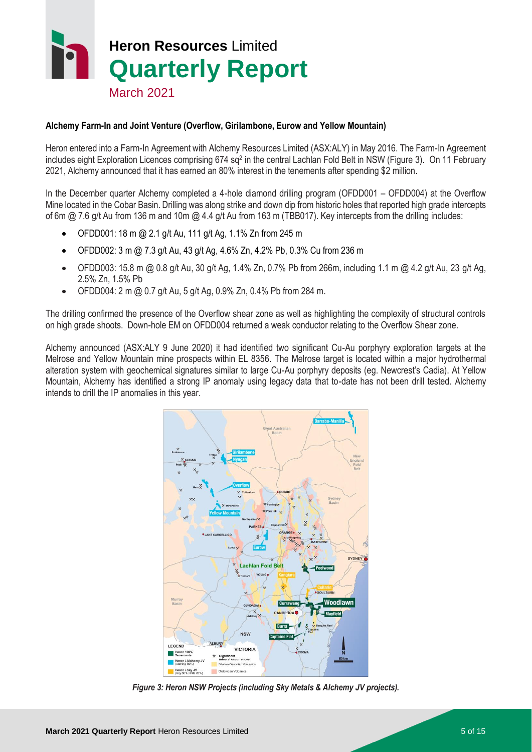

#### **Alchemy Farm-In and Joint Venture (Overflow, Girilambone, Eurow and Yellow Mountain)**

Heron entered into a Farm-In Agreement with Alchemy Resources Limited (ASX:ALY) in May 2016. The Farm-In Agreement includes eight Exploration Licences comprising 674 sq<sup>2</sup> in the central Lachlan Fold Belt in NSW (Figure 3). On 11 February 2021, Alchemy announced that it has earned an 80% interest in the tenements after spending \$2 million.

In the December quarter Alchemy completed a 4-hole diamond drilling program (OFDD001 – OFDD004) at the Overflow Mine located in the Cobar Basin. Drilling was along strike and down dip from historic holes that reported high grade intercepts of 6m @ 7.6 g/t Au from 136 m and 10m @ 4.4 g/t Au from 163 m (TBB017). Key intercepts from the drilling includes:

- OFDD001: 18 m @ 2.1 g/t Au, 111 g/t Ag, 1.1% Zn from 245 m
- OFDD002: 3 m @ 7.3 g/t Au, 43 g/t Ag, 4.6% Zn, 4.2% Pb, 0.3% Cu from 236 m
- OFDD003: 15.8 m @ 0.8 g/t Au, 30 g/t Ag, 1.4% Zn, 0.7% Pb from 266m, including 1.1 m @ 4.2 g/t Au, 23 g/t Ag, 2.5% Zn, 1.5% Pb
- OFDD004: 2 m @ 0.7 g/t Au, 5 g/t Ag, 0.9% Zn, 0.4% Pb from 284 m.

The drilling confirmed the presence of the Overflow shear zone as well as highlighting the complexity of structural controls on high grade shoots. Down-hole EM on OFDD004 returned a weak conductor relating to the Overflow Shear zone.

Alchemy announced (ASX:ALY 9 June 2020) it had identified two significant Cu-Au porphyry exploration targets at the Melrose and Yellow Mountain mine prospects within EL 8356. The Melrose target is located within a major hydrothermal alteration system with geochemical signatures similar to large Cu-Au porphyry deposits (eg. Newcrest's Cadia). At Yellow Mountain, Alchemy has identified a strong IP anomaly using legacy data that to-date has not been drill tested. Alchemy intends to drill the IP anomalies in this year.



*Figure 3: Heron NSW Projects (including Sky Metals & Alchemy JV projects).*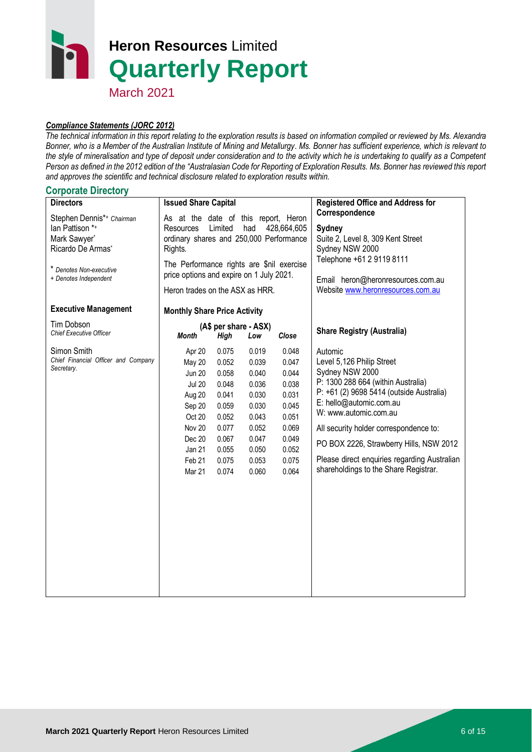March 2021

#### *Compliance Statements (JORC 2012)*

*The technical information in this report relating to the exploration results is based on information compiled or reviewed by Ms. Alexandra Bonner, who is a Member of the Australian Institute of Mining and Metallurgy. Ms. Bonner has sufficient experience, which is relevant to the style of mineralisation and type of deposit under consideration and to the activity which he is undertaking to qualify as a Competent Person as defined in the 2012 edition of the "Australasian Code for Reporting of Exploration Results. Ms. Bonner has reviewed this report and approves the scientific and technical disclosure related to exploration results within.* 

#### **Corporate Directory**

| <b>Directors</b>                                                                                                                      | <b>Issued Share Capital</b>                                                                                                               |                                                                                                                                                                                                                                              |                                                                                                          |                                                                                                          | <b>Registered Office and Address for</b>                                                                                                                                                                                                                                                                                                                                    |
|---------------------------------------------------------------------------------------------------------------------------------------|-------------------------------------------------------------------------------------------------------------------------------------------|----------------------------------------------------------------------------------------------------------------------------------------------------------------------------------------------------------------------------------------------|----------------------------------------------------------------------------------------------------------|----------------------------------------------------------------------------------------------------------|-----------------------------------------------------------------------------------------------------------------------------------------------------------------------------------------------------------------------------------------------------------------------------------------------------------------------------------------------------------------------------|
| Stephen Dennis*+ Chairman<br>lan Pattison *+<br>Mark Sawyer*<br>Ricardo De Armas*<br>* Denotes Non-executive<br>+ Denotes Independent | Resources<br>Rights.                                                                                                                      | As at the date of this report, Heron<br>Limited<br>had<br>428,664,605<br>ordinary shares and 250,000 Performance<br>The Performance rights are \$nil exercise<br>price options and expire on 1 July 2021.<br>Heron trades on the ASX as HRR. |                                                                                                          |                                                                                                          | Correspondence<br>Sydney<br>Suite 2, Level 8, 309 Kent Street<br>Sydney NSW 2000<br>Telephone +61 2 9119 8111<br>Email heron@heronresources.com.au<br>Website www.heronresources.com.au                                                                                                                                                                                     |
| <b>Executive Management</b>                                                                                                           | <b>Monthly Share Price Activity</b>                                                                                                       |                                                                                                                                                                                                                                              |                                                                                                          |                                                                                                          |                                                                                                                                                                                                                                                                                                                                                                             |
| Tim Dobson<br><b>Chief Executive Officer</b>                                                                                          | <b>Month</b>                                                                                                                              | (A\$ per share - ASX)<br>High                                                                                                                                                                                                                | Low                                                                                                      | Close                                                                                                    | <b>Share Registry (Australia)</b>                                                                                                                                                                                                                                                                                                                                           |
| Simon Smith<br>Chief Financial Officer and Company<br>Secretary.                                                                      | Apr 20<br><b>May 20</b><br><b>Jun 20</b><br><b>Jul 20</b><br>Aug 20<br>Sep 20<br>Oct 20<br>Nov 20<br>Dec 20<br>Jan 21<br>Feb 21<br>Mar 21 | 0.075<br>0.052<br>0.058<br>0.048<br>0.041<br>0.059<br>0.052<br>0.077<br>0.067<br>0.055<br>0.075<br>0.074                                                                                                                                     | 0.019<br>0.039<br>0.040<br>0.036<br>0.030<br>0.030<br>0.043<br>0.052<br>0.047<br>0.050<br>0.053<br>0.060 | 0.048<br>0.047<br>0.044<br>0.038<br>0.031<br>0.045<br>0.051<br>0.069<br>0.049<br>0.052<br>0.075<br>0.064 | Automic<br>Level 5,126 Philip Street<br>Sydney NSW 2000<br>P: 1300 288 664 (within Australia)<br>P: +61 (2) 9698 5414 (outside Australia)<br>E: hello@automic.com.au<br>W: www.automic.com.au<br>All security holder correspondence to:<br>PO BOX 2226, Strawberry Hills, NSW 2012<br>Please direct enquiries regarding Australian<br>shareholdings to the Share Registrar. |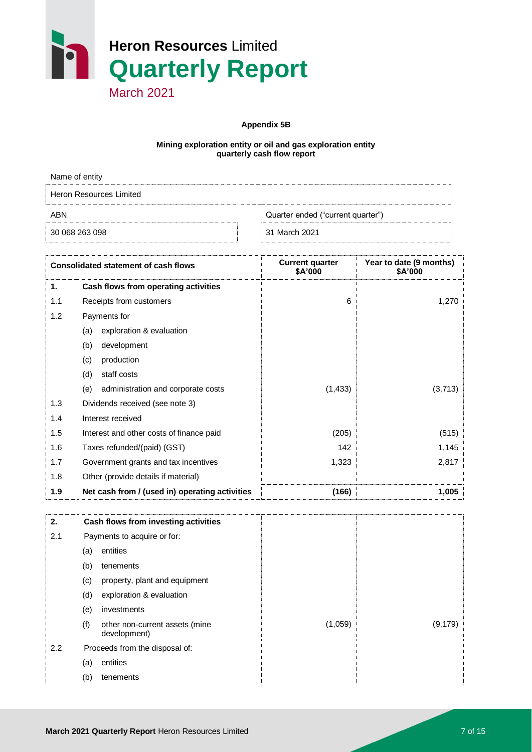

**Appendix 5B**

#### **Mining exploration entity or oil and gas exploration entity quarterly cash flow report**

| Name of entity                           |               |  |  |
|------------------------------------------|---------------|--|--|
| Heron Resources Limited                  |               |  |  |
| Quarter ended ("current quarter")<br>ABN |               |  |  |
| 30 068 263 098                           | 31 March 2021 |  |  |

|     | <b>Consolidated statement of cash flows</b>    | <b>Current quarter</b><br>\$A'000 | Year to date (9 months)<br>\$A'000 |
|-----|------------------------------------------------|-----------------------------------|------------------------------------|
| 1.  | Cash flows from operating activities           |                                   |                                    |
| 1.1 | Receipts from customers                        | 6                                 | 1,270                              |
| 1.2 | Payments for                                   |                                   |                                    |
|     | exploration & evaluation<br>(a)                |                                   |                                    |
|     | (b)<br>development                             |                                   |                                    |
|     | production<br>(c)                              |                                   |                                    |
|     | staff costs<br>(d)                             |                                   |                                    |
|     | administration and corporate costs<br>(e)      | (1, 433)                          | (3,713)                            |
| 1.3 | Dividends received (see note 3)                |                                   |                                    |
| 1.4 | Interest received                              |                                   |                                    |
| 1.5 | Interest and other costs of finance paid       | (205)                             | (515)                              |
| 1.6 | Taxes refunded/(paid) (GST)                    | 142                               | 1,145                              |
| 1.7 | Government grants and tax incentives           | 1,323                             | 2,817                              |
| 1.8 | Other (provide details if material)            |                                   |                                    |
| 1.9 | Net cash from / (used in) operating activities | (166)                             | 1,005                              |

| 2.  |     | Cash flows from investing activities           |         |          |
|-----|-----|------------------------------------------------|---------|----------|
| 2.1 |     | Payments to acquire or for:                    |         |          |
|     | (a) | entities                                       |         |          |
|     | (b) | tenements                                      |         |          |
|     | (c) | property, plant and equipment                  |         |          |
|     | (d) | exploration & evaluation                       |         |          |
|     | (e) | investments                                    |         |          |
|     | (f) | other non-current assets (mine<br>development) | (1,059) | (9, 179) |
| 2.2 |     | Proceeds from the disposal of:                 |         |          |
|     | (a) | entities                                       |         |          |
|     | (b) | tenements                                      |         |          |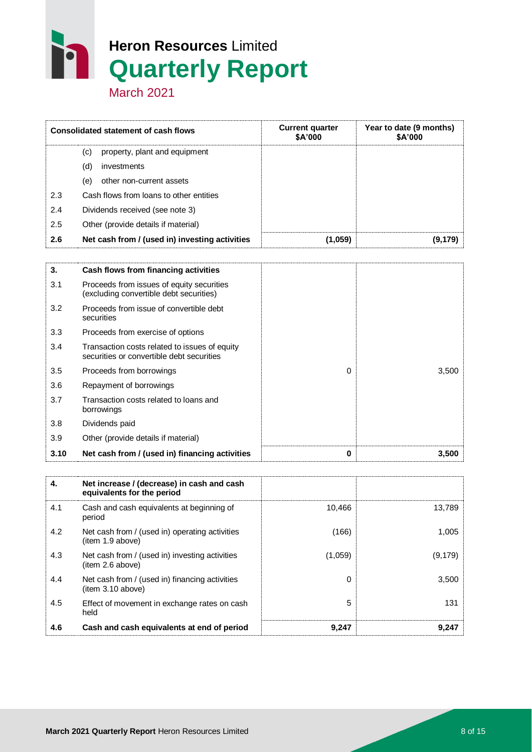March 2021

|     | <b>Consolidated statement of cash flows</b>    | <b>Current quarter</b><br><b>SA'000</b> | Year to date (9 months)<br>\$A'000 |
|-----|------------------------------------------------|-----------------------------------------|------------------------------------|
|     | property, plant and equipment<br>(c)           |                                         |                                    |
|     | investments<br>(d)                             |                                         |                                    |
|     | (e)<br>other non-current assets                |                                         |                                    |
| 2.3 | Cash flows from loans to other entities        |                                         |                                    |
| 2.4 | Dividends received (see note 3)                |                                         |                                    |
| 2.5 | Other (provide details if material)            |                                         |                                    |
| 2.6 | Net cash from / (used in) investing activities | (1,059)                                 | (9.179)                            |

| 3.   | Cash flows from financing activities                                                       |   |       |
|------|--------------------------------------------------------------------------------------------|---|-------|
| 3.1  | Proceeds from issues of equity securities<br>(excluding convertible debt securities)       |   |       |
| 3.2  | Proceeds from issue of convertible debt<br>securities                                      |   |       |
| 3.3  | Proceeds from exercise of options                                                          |   |       |
| 3.4  | Transaction costs related to issues of equity<br>securities or convertible debt securities |   |       |
| 3.5  | Proceeds from borrowings                                                                   | 0 | 3,500 |
| 3.6  | Repayment of borrowings                                                                    |   |       |
| 3.7  | Transaction costs related to loans and<br>borrowings                                       |   |       |
| 3.8  | Dividends paid                                                                             |   |       |
| 3.9  | Other (provide details if material)                                                        |   |       |
| 3.10 | Net cash from / (used in) financing activities                                             | 0 | 3,500 |

| 4.  | Net increase / (decrease) in cash and cash<br>equivalents for the period |         |          |
|-----|--------------------------------------------------------------------------|---------|----------|
| 4.1 | Cash and cash equivalents at beginning of<br>period                      | 10,466  | 13,789   |
| 4.2 | Net cash from / (used in) operating activities<br>(item 1.9 above)       | (166)   | 1,005    |
| 4.3 | Net cash from / (used in) investing activities<br>(item 2.6 above)       | (1,059) | (9, 179) |
| 4.4 | Net cash from / (used in) financing activities<br>item 3.10 above)       | 0       | 3,500    |
| 4.5 | Effect of movement in exchange rates on cash<br>held                     | 5       | 131      |
| 4.6 | Cash and cash equivalents at end of period                               | 9,247   | 9.247    |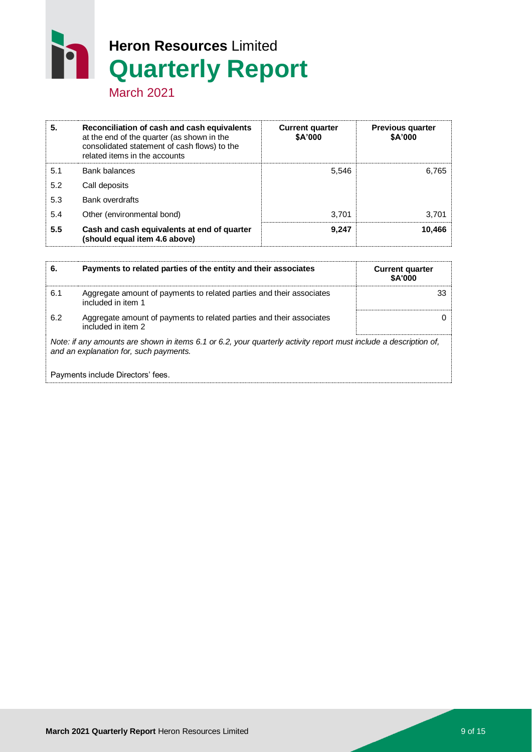March 2021

h

| 5.  | Reconciliation of cash and cash equivalents<br>at the end of the quarter (as shown in the<br>consolidated statement of cash flows) to the<br>related items in the accounts | <b>Current quarter</b><br>\$A'000 | <b>Previous quarter</b><br>\$A'000 |
|-----|----------------------------------------------------------------------------------------------------------------------------------------------------------------------------|-----------------------------------|------------------------------------|
| 5.1 | Bank balances                                                                                                                                                              | 5.546                             | 6,765                              |
| 5.2 | Call deposits                                                                                                                                                              |                                   |                                    |
| 5.3 | Bank overdrafts                                                                                                                                                            |                                   |                                    |
| 5.4 | Other (environmental bond)                                                                                                                                                 | 3.701                             | 3,701                              |
| 5.5 | Cash and cash equivalents at end of quarter<br>(should equal item 4.6 above)                                                                                               | 9.247                             | 10.466                             |

| 6.  | Payments to related parties of the entity and their associates                                                                                              | <b>Current quarter</b><br><b>SA'000</b> |  |  |
|-----|-------------------------------------------------------------------------------------------------------------------------------------------------------------|-----------------------------------------|--|--|
| 6.1 | Aggregate amount of payments to related parties and their associates<br>included in item 1                                                                  | 33                                      |  |  |
| 6.2 | Aggregate amount of payments to related parties and their associates<br>included in item 2                                                                  |                                         |  |  |
|     | Note: if any amounts are shown in items 6.1 or 6.2, your quarterly activity report must include a description of,<br>and an explanation for, such payments. |                                         |  |  |
|     | Payments include Directors' fees.                                                                                                                           |                                         |  |  |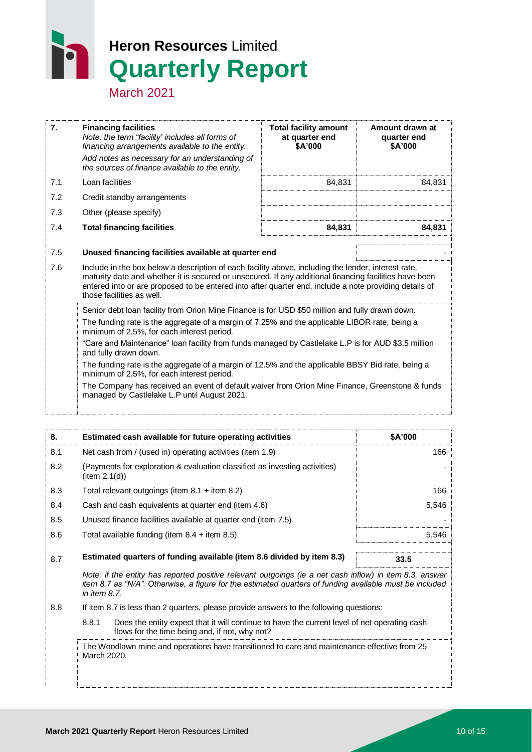March 2021

| 7.  | <b>Financing facilities</b><br>Note: the term "facility' includes all forms of<br>financing arrangements available to the entity.<br>Add notes as necessary for an understanding of<br>the sources of finance available to the entity.                                                                                                               | <b>Total facility amount</b><br>at quarter end<br>\$A'000 | Amount drawn at<br>quarter end<br>\$A'000 |  |  |
|-----|------------------------------------------------------------------------------------------------------------------------------------------------------------------------------------------------------------------------------------------------------------------------------------------------------------------------------------------------------|-----------------------------------------------------------|-------------------------------------------|--|--|
| 7.1 | Loan facilities                                                                                                                                                                                                                                                                                                                                      | 84,831                                                    | 84,831                                    |  |  |
| 7.2 | Credit standby arrangements                                                                                                                                                                                                                                                                                                                          |                                                           |                                           |  |  |
| 7.3 | Other (please specify)                                                                                                                                                                                                                                                                                                                               |                                                           |                                           |  |  |
| 7.4 | <b>Total financing facilities</b>                                                                                                                                                                                                                                                                                                                    | 84,831                                                    | 84,831                                    |  |  |
| 7.5 | Unused financing facilities available at quarter end                                                                                                                                                                                                                                                                                                 |                                                           |                                           |  |  |
| 7.6 | Include in the box below a description of each facility above, including the lender, interest rate,<br>maturity date and whether it is secured or unsecured. If any additional financing facilities have been<br>entered into or are proposed to be entered into after quarter end, include a note providing details of<br>those facilities as well. |                                                           |                                           |  |  |
|     | Senior debt loan facility from Orion Mine Finance is for USD \$50 million and fully drawn down.<br>The funding rate is the aggregate of a margin of 7.25% and the applicable LIBOR rate, being a<br>minimum of 2.5%, for each interest period.                                                                                                       |                                                           |                                           |  |  |
|     | "Care and Maintenance" loan facility from funds managed by Castlelake L.P is for AUD \$3.5 million<br>and fully drawn down.                                                                                                                                                                                                                          |                                                           |                                           |  |  |
|     | The funding rate is the aggregate of a margin of 12.5% and the applicable BBSY Bid rate, being a<br>minimum of 2.5%, for each interest period.                                                                                                                                                                                                       |                                                           |                                           |  |  |
|     | The Company has received an event of default waiver from Orion Mine Finance, Greenstone & funds<br>managed by Castlelake L.P until August 2021.                                                                                                                                                                                                      |                                                           |                                           |  |  |
|     |                                                                                                                                                                                                                                                                                                                                                      |                                                           |                                           |  |  |

| 8.  | Estimated cash available for future operating activities                                   | \$A'000 |
|-----|--------------------------------------------------------------------------------------------|---------|
| 8.1 | Net cash from / (used in) operating activities (item 1.9)                                  | 166     |
| 8.2 | (Payments for exploration & evaluation classified as investing activities)<br>item 2.1(d)) |         |
| 8.3 | Total relevant outgoings (item $8.1$ + item $8.2$ )                                        | 166     |
| 8.4 | Cash and cash equivalents at quarter end (item 4.6)                                        | 5.546   |
| 8.5 | Unused finance facilities available at quarter end (item 7.5)                              |         |
| 8.6 | Total available funding (item $8.4$ + item $8.5$ )                                         | 5.546   |
|     | Estimated quarters of funding available (item 8.6 divided by item 8.3)                     |         |
| 8.7 |                                                                                            | 33.5    |

*Note: if the entity has reported positive relevant outgoings (ie a net cash inflow) in item 8.3, answer item 8.7 as "N/A". Otherwise, a figure for the estimated quarters of funding available must be included in item 8.7.*

8.8 If item 8.7 is less than 2 quarters, please provide answers to the following questions:

8.8.1 Does the entity expect that it will continue to have the current level of net operating cash flows for the time being and, if not, why not?

The Woodlawn mine and operations have transitioned to care and maintenance effective from 25 March 2020.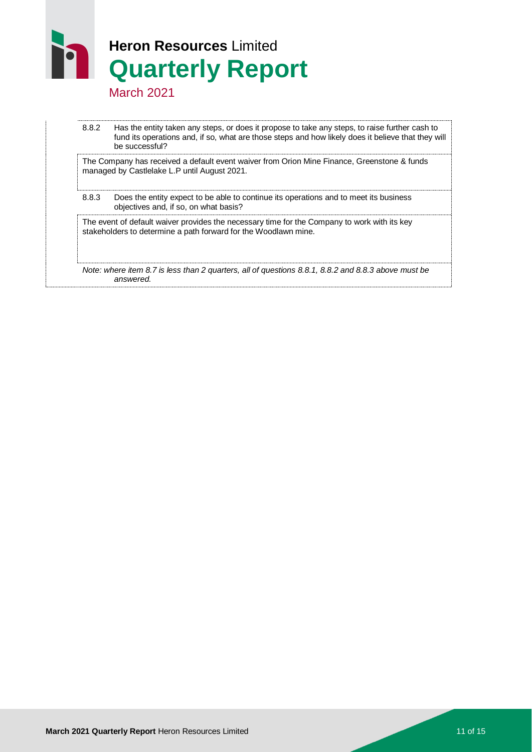March 2021

8.8.2 Has the entity taken any steps, or does it propose to take any steps, to raise further cash to fund its operations and, if so, what are those steps and how likely does it believe that they will be successful?

The Company has received a default event waiver from Orion Mine Finance, Greenstone & funds managed by Castlelake L.P until August 2021.

8.8.3 Does the entity expect to be able to continue its operations and to meet its business objectives and, if so, on what basis?

The event of default waiver provides the necessary time for the Company to work with its key stakeholders to determine a path forward for the Woodlawn mine.

*Note: where item 8.7 is less than 2 quarters, all of questions 8.8.1, 8.8.2 and 8.8.3 above must be answered.*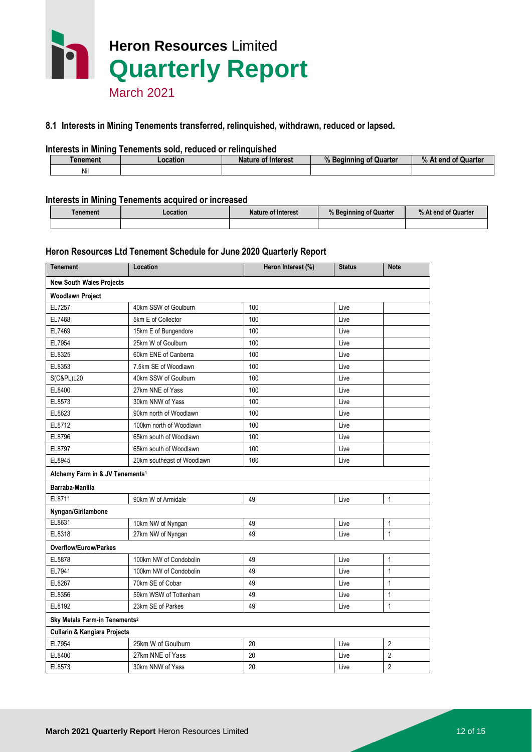

#### **8.1 Interests in Mining Tenements transferred, relinquished, withdrawn, reduced or lapsed.**

#### **Interests in Mining Tenements sold, reduced or relinquished**

| <b>Tenement</b> | ∠ocation | <b>Nature of Interest</b> | Quarter<br><b>Beainning</b><br>Ωt<br>70. | of Quarter<br>% At end |
|-----------------|----------|---------------------------|------------------------------------------|------------------------|
| Nil             |          |                           |                                          |                        |

#### **Interests in Mining Tenements acquired or increased**

| <b>Tenement</b> | Location | Nature of Interest | % Beginning of Quarter | % At end of Quarter |
|-----------------|----------|--------------------|------------------------|---------------------|
|                 |          |                    |                        |                     |

#### **Heron Resources Ltd Tenement Schedule for June 2020 Quarterly Report**

| <b>Tenement</b>                             | Location                   | Heron Interest (%) | <b>Status</b> | <b>Note</b>                      |
|---------------------------------------------|----------------------------|--------------------|---------------|----------------------------------|
| <b>New South Wales Projects</b>             |                            |                    |               |                                  |
| <b>Woodlawn Project</b>                     |                            |                    |               |                                  |
| EL7257                                      | 40km SSW of Goulburn       | 100                | Live          |                                  |
| EL7468                                      | 5km E of Collector         | 100                | Live          |                                  |
| EL7469                                      | 15km E of Bungendore       | 100                | Live          |                                  |
| EL7954                                      | 25km W of Goulburn         | 100                | Live          |                                  |
| EL8325                                      | 60km ENE of Canberra       | 100                | Live          |                                  |
| EL8353                                      | 7.5km SE of Woodlawn       | 100                | Live          |                                  |
| <b>S(C&amp;PL)L20</b>                       | 40km SSW of Goulburn       | 100                | Live          |                                  |
| EL8400                                      | 27km NNE of Yass           | 100                | Live          |                                  |
| EL8573                                      | 30km NNW of Yass           | 100                | Live          |                                  |
| EL8623                                      | 90km north of Woodlawn     | 100                | Live          |                                  |
| EL8712                                      | 100km north of Woodlawn    | 100                | Live          |                                  |
| EL8796                                      | 65km south of Woodlawn     | 100                | Live          |                                  |
| EL8797                                      | 65km south of Woodlawn     | 100                | Live          |                                  |
| EL8945                                      | 20km southeast of Woodlawn | 100                | Live          |                                  |
| Alchemy Farm in & JV Tenements <sup>1</sup> |                            |                    |               |                                  |
| Barraba-Manilla                             |                            |                    |               |                                  |
| EL8711                                      | 90km W of Armidale         | 49                 | Live          | 1                                |
| Nyngan/Girilambone                          |                            |                    |               |                                  |
| EL8631                                      | 10km NW of Nyngan          | 49                 | Live          | 1                                |
| EL8318                                      | 27km NW of Nyngan          | 49                 | Live          | $\mathbf{1}$                     |
| <b>Overflow/Eurow/Parkes</b>                |                            |                    |               |                                  |
| EL5878                                      | 100km NW of Condobolin     | 49                 | Live          | 1                                |
| EL7941                                      | 100km NW of Condobolin     | 49                 | Live          | 1                                |
| EL8267                                      | 70km SE of Cobar           | 49                 | Live          | 1                                |
| EL8356                                      | 59km WSW of Tottenham      | 49                 | Live          | 1                                |
| EL8192                                      | 23km SE of Parkes          | 49                 | Live          | $\mathbf{1}$                     |
| Sky Metals Farm-in Tenements <sup>2</sup>   |                            |                    |               |                                  |
|                                             |                            |                    |               |                                  |
| <b>Cullarin &amp; Kangiara Projects</b>     |                            |                    |               |                                  |
| EL7954                                      | 25km W of Goulburn         | 20                 | Live          | $\overline{2}$                   |
| EL8400                                      | 27km NNE of Yass           | 20                 | Live          | $\overline{2}$<br>$\overline{2}$ |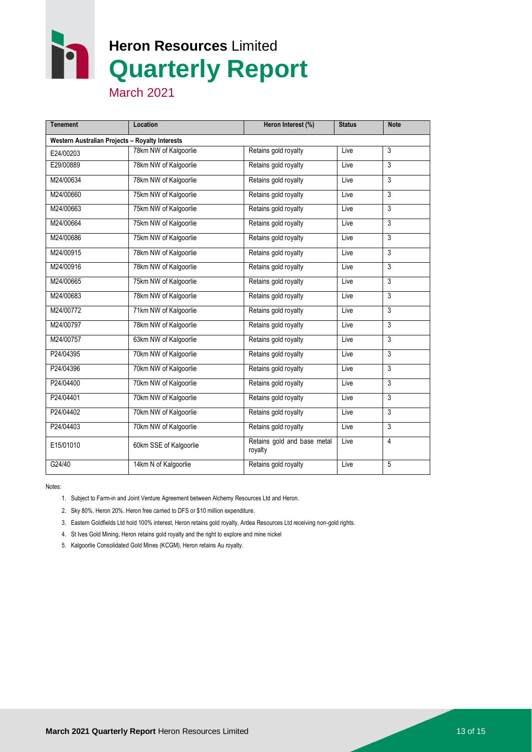**M** 

## **Heron Resources** Limited **Quarterly Report**

March 2021

| <b>Tenement</b>                                 | Location               | Heron Interest (%)                     | <b>Status</b> | <b>Note</b>    |
|-------------------------------------------------|------------------------|----------------------------------------|---------------|----------------|
| Western Australian Projects - Royalty Interests |                        |                                        |               |                |
| E24/00203                                       | 78km NW of Kalgoorlie  | Retains gold royalty                   | Live          | 3              |
| E29/00889                                       | 78km NW of Kalgoorlie  | Retains gold royalty                   | Live          | 3              |
| M24/00634                                       | 78km NW of Kalgoorlie  | Retains gold royalty                   | Live          | 3              |
| M24/00660                                       | 75km NW of Kalgoorlie  | Retains gold royalty                   | Live          | 3              |
| M24/00663                                       | 75km NW of Kalgoorlie  | Retains gold royalty                   | Live          | 3              |
| M24/00664                                       | 75km NW of Kalgoorlie  | Retains gold royalty                   | Live          | 3              |
| M24/00686                                       | 75km NW of Kalgoorlie  | Retains gold royalty                   | Live          | 3              |
| M24/00915                                       | 78km NW of Kalgoorlie  | Retains gold royalty                   | Live          | 3              |
| M24/00916                                       | 78km NW of Kalgoorlie  | Retains gold royalty                   | Live          | 3              |
| M24/00665                                       | 75km NW of Kalgoorlie  | Retains gold royalty                   | Live          | 3              |
| M24/00683                                       | 78km NW of Kalgoorlie  | Retains gold royalty                   | Live          | 3              |
| M24/00772                                       | 71km NW of Kalgoorlie  | Retains gold royalty                   | Live          | $\overline{3}$ |
| M24/00797                                       | 78km NW of Kalgoorlie  | Retains gold royalty                   | Live          | 3              |
| M24/00757                                       | 63km NW of Kalgoorlie  | Retains gold royalty                   | Live          | 3              |
| P24/04395                                       | 70km NW of Kalgoorlie  | Retains gold royalty                   | Live          | 3              |
| P24/04396                                       | 70km NW of Kalgoorlie  | Retains gold royalty                   | Live          | 3              |
| P24/04400                                       | 70km NW of Kalgoorlie  | Retains gold royalty                   | Live          | 3              |
| P24/04401                                       | 70km NW of Kalgoorlie  | Retains gold royalty                   | Live          | 3              |
| P24/04402                                       | 70km NW of Kalgoorlie  | Retains gold royalty                   | Live          | 3              |
| P24/04403                                       | 70km NW of Kalgoorlie  | Retains gold royalty                   | Live          | 3              |
| E15/01010                                       | 60km SSE of Kalgoorlie | Retains gold and base metal<br>royalty | Live          | 4              |
| G24/40                                          | 14km N of Kalgoorlie   | Retains gold royalty                   | Live          | 5              |

Notes:

1. Subject to Farm-in and Joint Venture Agreement between Alchemy Resources Ltd and Heron.

2. Sky 80%, Heron 20%. Heron free carried to DFS or \$10 million expenditure.

3. Eastern Goldfields Ltd hold 100% interest, Heron retains gold royalty, Ardea Resources Ltd receiving non-gold rights.

4. St Ives Gold Mining, Heron retains gold royalty and the right to explore and mine nickel

5. Kalgoorlie Consolidated Gold Mines (KCGM), Heron retains Au royalty.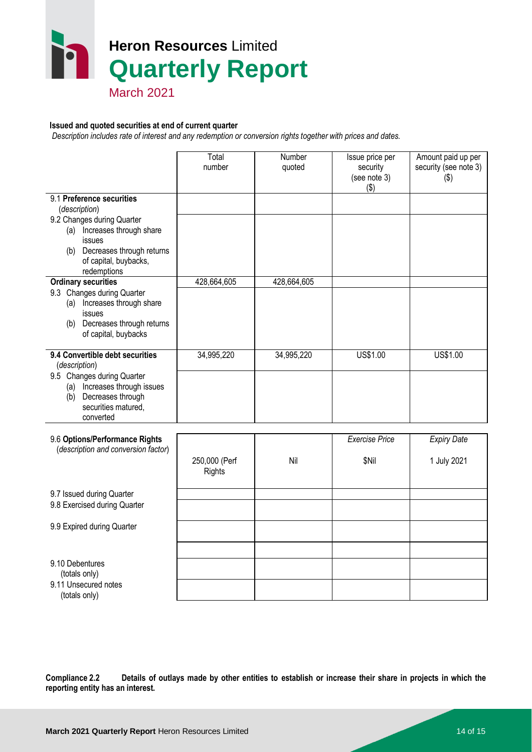

March 2021

#### **Issued and quoted securities at end of current quarter**

 *Description includes rate of interest and any redemption or conversion rights together with prices and dates.*

|                                                                                                                                                                                   | Total<br>number                | Number<br>quoted | Issue price per<br>security<br>(see note 3)<br>( \$) | Amount paid up per<br>security (see note 3)<br>$($ \$) |
|-----------------------------------------------------------------------------------------------------------------------------------------------------------------------------------|--------------------------------|------------------|------------------------------------------------------|--------------------------------------------------------|
| 9.1 Preference securities<br>(description)                                                                                                                                        |                                |                  |                                                      |                                                        |
| 9.2 Changes during Quarter<br>(a) Increases through share<br>issues<br>Decreases through returns<br>(b)<br>of capital, buybacks,<br>redemptions                                   |                                |                  |                                                      |                                                        |
| <b>Ordinary securities</b><br>9.3 Changes during Quarter<br>(a) Increases through share<br>issues<br>(b) Decreases through returns<br>of capital, buybacks                        | 428,664,605                    | 428,664,605      |                                                      |                                                        |
| 9.4 Convertible debt securities<br>(description)<br>9.5 Changes during Quarter<br>Increases through issues<br>(a)<br>Decreases through<br>(b)<br>securities matured,<br>converted | 34,995,220                     | 34,995,220       | US\$1.00                                             | US\$1.00                                               |
| 9.6 Options/Performance Rights<br>(description and conversion factor)                                                                                                             | 250,000 (Perf<br><b>Rights</b> | Nil              | <b>Exercise Price</b><br>\$Nil                       | <b>Expiry Date</b><br>1 July 2021                      |
| 9.7 Issued during Quarter<br>9.8 Exercised during Quarter                                                                                                                         |                                |                  |                                                      |                                                        |
| 9.9 Expired during Quarter                                                                                                                                                        |                                |                  |                                                      |                                                        |
| 9.10 Debentures<br>(totals only)                                                                                                                                                  |                                |                  |                                                      |                                                        |

**Compliance 2.2 Details of outlays made by other entities to establish or increase their share in projects in which the reporting entity has an interest.**

9.11 Unsecured notes (totals only)